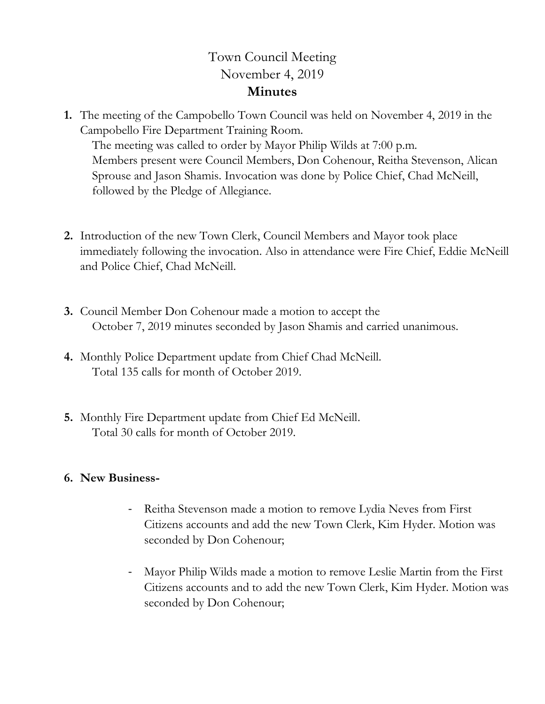## Town Council Meeting November 4, 2019 **Minutes**

**1.** The meeting of the Campobello Town Council was held on November 4, 2019 in the Campobello Fire Department Training Room.

The meeting was called to order by Mayor Philip Wilds at 7:00 p.m. Members present were Council Members, Don Cohenour, Reitha Stevenson, Alican Sprouse and Jason Shamis. Invocation was done by Police Chief, Chad McNeill, followed by the Pledge of Allegiance.

- **2.** Introduction of the new Town Clerk, Council Members and Mayor took place immediately following the invocation. Also in attendance were Fire Chief, Eddie McNeill and Police Chief, Chad McNeill.
- **3.** Council Member Don Cohenour made a motion to accept the October 7, 2019 minutes seconded by Jason Shamis and carried unanimous.
- **4.** Monthly Police Department update from Chief Chad McNeill. Total 135 calls for month of October 2019.
- **5.** Monthly Fire Department update from Chief Ed McNeill. Total 30 calls for month of October 2019.

## **6. New Business-**

- Reitha Stevenson made a motion to remove Lydia Neves from First Citizens accounts and add the new Town Clerk, Kim Hyder. Motion was seconded by Don Cohenour;
- Mayor Philip Wilds made a motion to remove Leslie Martin from the First Citizens accounts and to add the new Town Clerk, Kim Hyder. Motion was seconded by Don Cohenour;